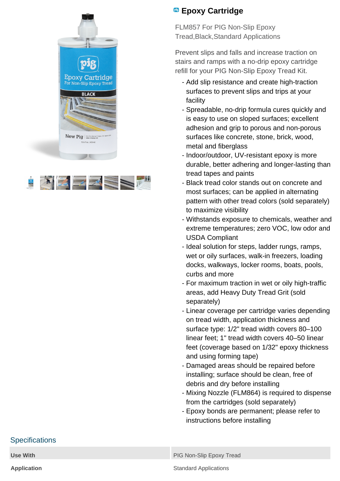



## **Epoxy Cartridge**

FLM857 For PIG Non-Slip Epoxy Tread,Black,Standard Applications

Prevent slips and falls and increase traction on stairs and ramps with a no-drip epoxy cartridge refill for your PIG Non-Slip Epoxy Tread Kit.

- Add slip resistance and create high-traction surfaces to prevent slips and trips at your facility
- Spreadable, no-drip formula cures quickly and is easy to use on sloped surfaces; excellent adhesion and grip to porous and non-porous surfaces like concrete, stone, brick, wood, metal and fiberglass
- Indoor/outdoor, UV-resistant epoxy is more durable, better adhering and longer-lasting than tread tapes and paints
- Black tread color stands out on concrete and most surfaces; can be applied in alternating pattern with other tread colors (sold separately) to maximize visibility
- Withstands exposure to chemicals, weather and extreme temperatures; zero VOC, low odor and USDA Compliant
- Ideal solution for steps, ladder rungs, ramps, wet or oily surfaces, walk-in freezers, loading docks, walkways, locker rooms, boats, pools, curbs and more
- For maximum traction in wet or oily high-traffic areas, add Heavy Duty Tread Grit (sold separately)
- Linear coverage per cartridge varies depending on tread width, application thickness and surface type: 1/2" tread width covers 80–100 linear feet; 1" tread width covers 40–50 linear feet (coverage based on 1/32" epoxy thickness and using forming tape)
- Damaged areas should be repaired before installing; surface should be clean, free of debris and dry before installing
- Mixing Nozzle (FLM864) is required to dispense from the cartridges (sold separately)
- Epoxy bonds are permanent; please refer to instructions before installing

## **Specifications**

**Use With PIG Non-Slip Epoxy Tread** 

**Application Standard Applications**